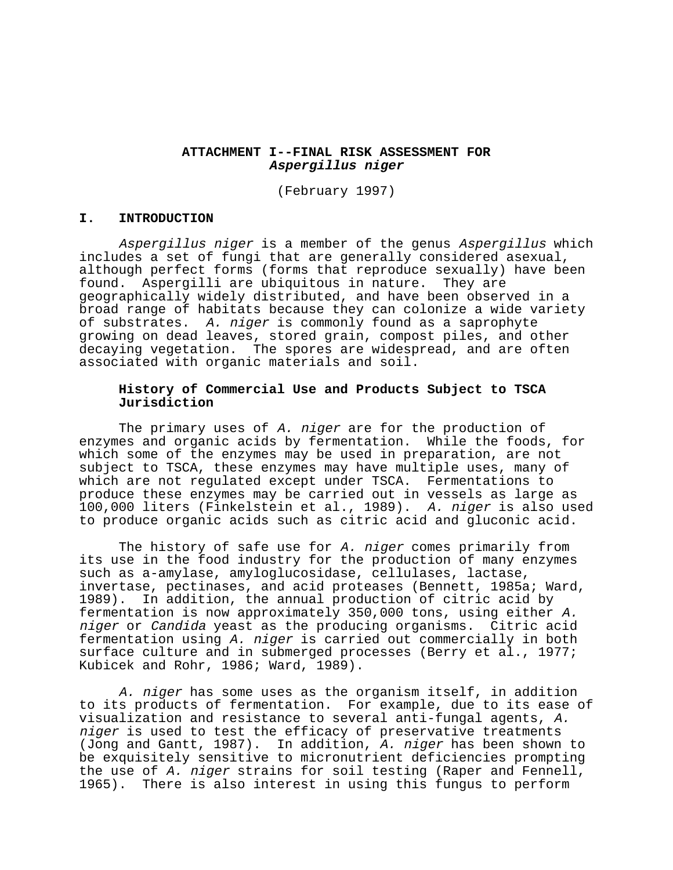# **ATTACHMENT I--FINAL RISK ASSESSMENT FOR Aspergillus niger**

(February 1997)

## **I. INTRODUCTION**

Aspergillus niger is a member of the genus Aspergillus which includes a set of fungi that are generally considered asexual, although perfect forms (forms that reproduce sexually) have been found. Aspergilli are ubiquitous in nature. They are geographically widely distributed, and have been observed in a broad range of habitats because they can colonize a wide variety of substrates. A. niger is commonly found as a saprophyte growing on dead leaves, stored grain, compost piles, and other decaying vegetation. The spores are widespread, and are often associated with organic materials and soil.

# **History of Commercial Use and Products Subject to TSCA Jurisdiction**

The primary uses of A. niger are for the production of enzymes and organic acids by fermentation. While the foods, for which some of the enzymes may be used in preparation, are not subject to TSCA, these enzymes may have multiple uses, many of which are not regulated except under TSCA. Fermentations to produce these enzymes may be carried out in vessels as large as 100,000 liters (Finkelstein et al., 1989). A. niger is also used to produce organic acids such as citric acid and gluconic acid.

The history of safe use for A. niger comes primarily from its use in the food industry for the production of many enzymes such as a-amylase, amyloglucosidase, cellulases, lactase, invertase, pectinases, and acid proteases (Bennett, 1985a; Ward, 1989). In addition, the annual production of citric acid by fermentation is now approximately 350,000 tons, using either A. niger or Candida yeast as the producing organisms. Citric acid fermentation using A. niger is carried out commercially in both surface culture and in submerged processes (Berry et al., 1977; Kubicek and Rohr, 1986; Ward, 1989).

A. niger has some uses as the organism itself, in addition to its products of fermentation. For example, due to its ease of visualization and resistance to several anti-fungal agents, A. niger is used to test the efficacy of preservative treatments (Jong and Gantt, 1987). In addition, A. niger has been shown to be exquisitely sensitive to micronutrient deficiencies prompting the use of A. niger strains for soil testing (Raper and Fennell, 1965). There is also interest in using this fungus to perform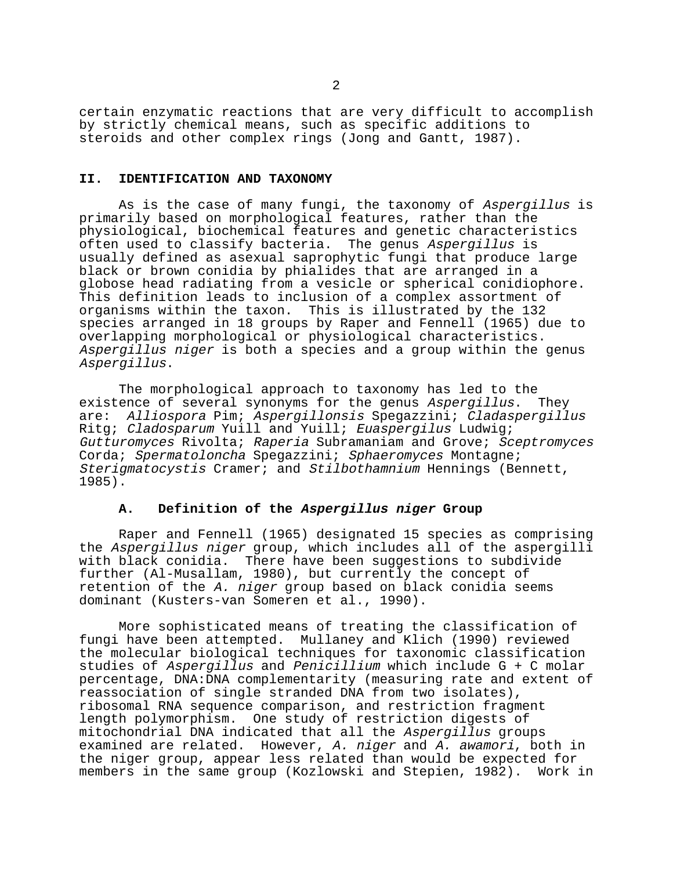certain enzymatic reactions that are very difficult to accomplish by strictly chemical means, such as specific additions to steroids and other complex rings (Jong and Gantt, 1987).

#### **II. IDENTIFICATION AND TAXONOMY**

As is the case of many fungi, the taxonomy of Aspergillus is primarily based on morphological features, rather than the physiological, biochemical features and genetic characteristics often used to classify bacteria. The genus Aspergillus is usually defined as asexual saprophytic fungi that produce large black or brown conidia by phialides that are arranged in a globose head radiating from a vesicle or spherical conidiophore. This definition leads to inclusion of a complex assortment of organisms within the taxon. This is illustrated by the 132 species arranged in 18 groups by Raper and Fennell (1965) due to overlapping morphological or physiological characteristics. Aspergillus niger is both a species and a group within the genus Aspergillus.

The morphological approach to taxonomy has led to the existence of several synonyms for the genus Aspergillus. They are: Alliospora Pim; Aspergillonsis Spegazzini; Cladaspergillus Ritg; Cladosparum Yuill and Yuill; Euaspergilus Ludwig; Gutturomyces Rivolta; Raperia Subramaniam and Grove; Sceptromyces Corda; Spermatoloncha Spegazzini; Sphaeromyces Montagne; Sterigmatocystis Cramer; and Stilbothamnium Hennings (Bennett, 1985).

## **A. Definition of the Aspergillus niger Group**

Raper and Fennell (1965) designated 15 species as comprising the Aspergillus niger group, which includes all of the aspergilli with black conidia. There have been suggestions to subdivide further (Al-Musallam, 1980), but currently the concept of retention of the A. niger group based on black conidia seems dominant (Kusters-van Someren et al., 1990).

More sophisticated means of treating the classification of fungi have been attempted. Mullaney and Klich (1990) reviewed the molecular biological techniques for taxonomic classification studies of Aspergillus and Penicillium which include G + C molar percentage, DNA:DNA complementarity (measuring rate and extent of reassociation of single stranded DNA from two isolates), ribosomal RNA sequence comparison, and restriction fragment length polymorphism. One study of restriction digests of mitochondrial DNA indicated that all the Aspergillus groups examined are related. However, A. niger and A. awamori, both in the niger group, appear less related than would be expected for members in the same group (Kozlowski and Stepien, 1982). Work in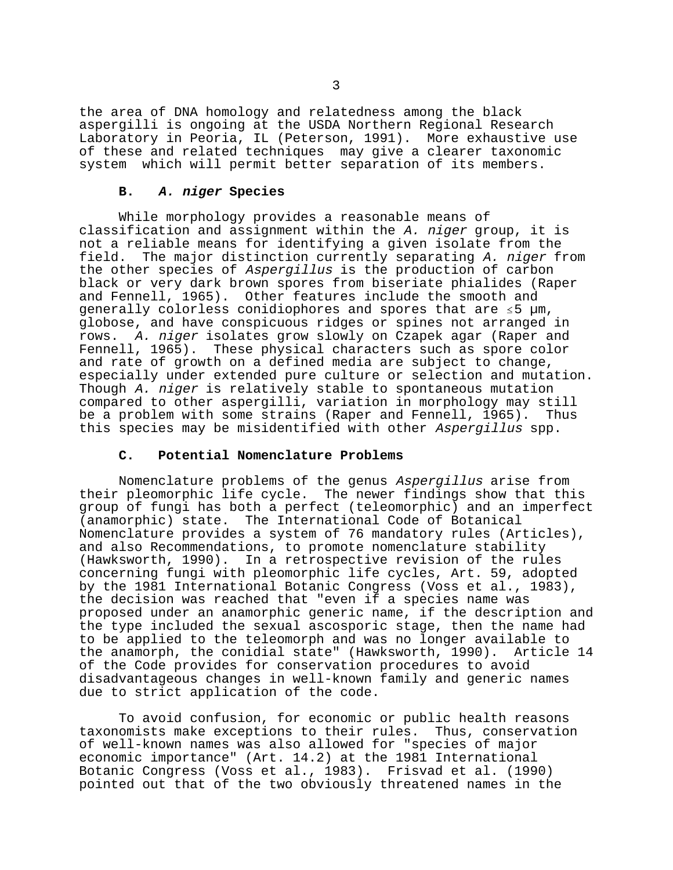the area of DNA homology and relatedness among the black aspergilli is ongoing at the USDA Northern Regional Research Laboratory in Peoria, IL (Peterson, 1991). More exhaustive use of these and related techniques may give a clearer taxonomic system which will permit better separation of its members.

## **B. A. niger Species**

While morphology provides a reasonable means of classification and assignment within the A. niger group, it is not a reliable means for identifying a given isolate from the field. The major distinction currently separating A. niger from the other species of Aspergillus is the production of carbon black or very dark brown spores from biseriate phialides (Raper and Fennell, 1965). Other features include the smooth and qenerally colorless conidiophores and spores that are  $\leq 5$  µm, globose, and have conspicuous ridges or spines not arranged in rows. A. niger isolates grow slowly on Czapek agar (Raper and Fennell, 1965). These physical characters such as spore color and rate of growth on a defined media are subject to change, especially under extended pure culture or selection and mutation. Though A. niger is relatively stable to spontaneous mutation compared to other aspergilli, variation in morphology may still be a problem with some strains (Raper and Fennell, 1965). Thus this species may be misidentified with other Aspergillus spp.

## **C. Potential Nomenclature Problems**

Nomenclature problems of the genus Aspergillus arise from their pleomorphic life cycle. The newer findings show that this group of fungi has both a perfect (teleomorphic) and an imperfect (anamorphic) state. The International Code of Botanical Nomenclature provides a system of 76 mandatory rules (Articles), and also Recommendations, to promote nomenclature stability (Hawksworth, 1990). In a retrospective revision of the rules concerning fungi with pleomorphic life cycles, Art. 59, adopted by the 1981 International Botanic Congress (Voss et al., 1983), the decision was reached that "even if a species name was proposed under an anamorphic generic name, if the description and the type included the sexual ascosporic stage, then the name had to be applied to the teleomorph and was no longer available to the anamorph, the conidial state" (Hawksworth, 1990). Article 14 of the Code provides for conservation procedures to avoid disadvantageous changes in well-known family and generic names due to strict application of the code.

To avoid confusion, for economic or public health reasons taxonomists make exceptions to their rules. Thus, conservation of well-known names was also allowed for "species of major economic importance" (Art. 14.2) at the 1981 International Botanic Congress (Voss et al., 1983). Frisvad et al. (1990) pointed out that of the two obviously threatened names in the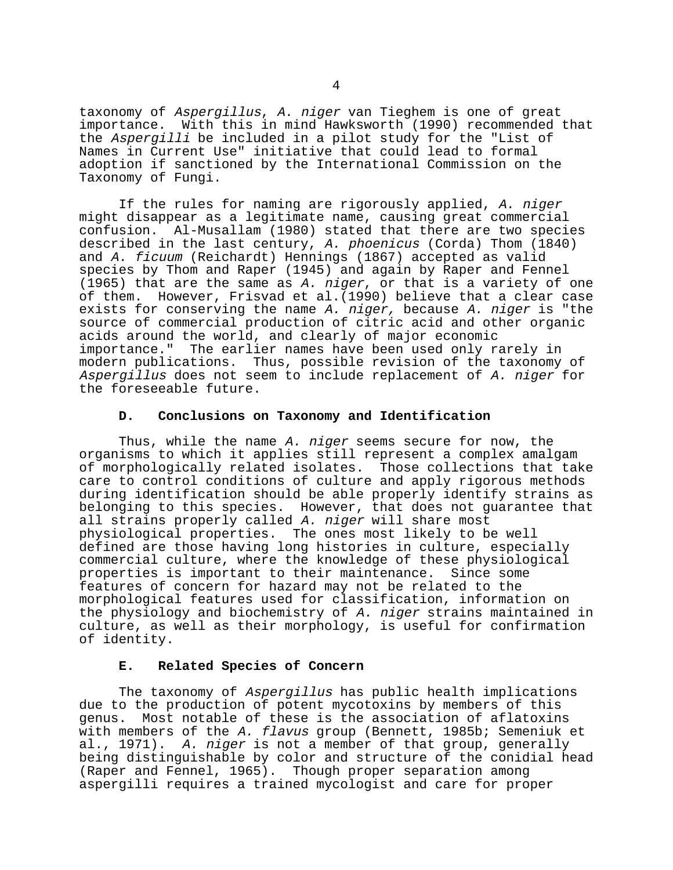taxonomy of Aspergillus, A. niger van Tieghem is one of great importance. With this in mind Hawksworth (1990) recommended that the Aspergilli be included in a pilot study for the "List of Names in Current Use" initiative that could lead to formal adoption if sanctioned by the International Commission on the Taxonomy of Fungi.

 If the rules for naming are rigorously applied, A. niger might disappear as a legitimate name, causing great commercial confusion. Al-Musallam (1980) stated that there are two species described in the last century, A. phoenicus (Corda) Thom (1840) and A. ficuum (Reichardt) Hennings (1867) accepted as valid species by Thom and Raper (1945) and again by Raper and Fennel (1965) that are the same as A. niger, or that is a variety of one of them. However, Frisvad et al.(1990) believe that a clear case exists for conserving the name A. niger, because A. niger is "the source of commercial production of citric acid and other organic acids around the world, and clearly of major economic importance." The earlier names have been used only rarely in modern publications. Thus, possible revision of the taxonomy of Aspergillus does not seem to include replacement of A. niger for the foreseeable future.

# **D. Conclusions on Taxonomy and Identification**

Thus, while the name A. niger seems secure for now, the organisms to which it applies still represent a complex amalgam of morphologically related isolates. Those collections that take care to control conditions of culture and apply rigorous methods during identification should be able properly identify strains as belonging to this species. However, that does not guarantee that all strains properly called A. niger will share most physiological properties. The ones most likely to be well defined are those having long histories in culture, especially commercial culture, where the knowledge of these physiological properties is important to their maintenance. Since some features of concern for hazard may not be related to the morphological features used for classification, information on the physiology and biochemistry of A. niger strains maintained in culture, as well as their morphology, is useful for confirmation of identity.

## **E. Related Species of Concern**

The taxonomy of Aspergillus has public health implications due to the production of potent mycotoxins by members of this genus. Most notable of these is the association of aflatoxins with members of the A. flavus group (Bennett, 1985b; Semeniuk et al., 1971). A. niger is not a member of that group, generally being distinguishable by color and structure of the conidial head (Raper and Fennel, 1965). Though proper separation among aspergilli requires a trained mycologist and care for proper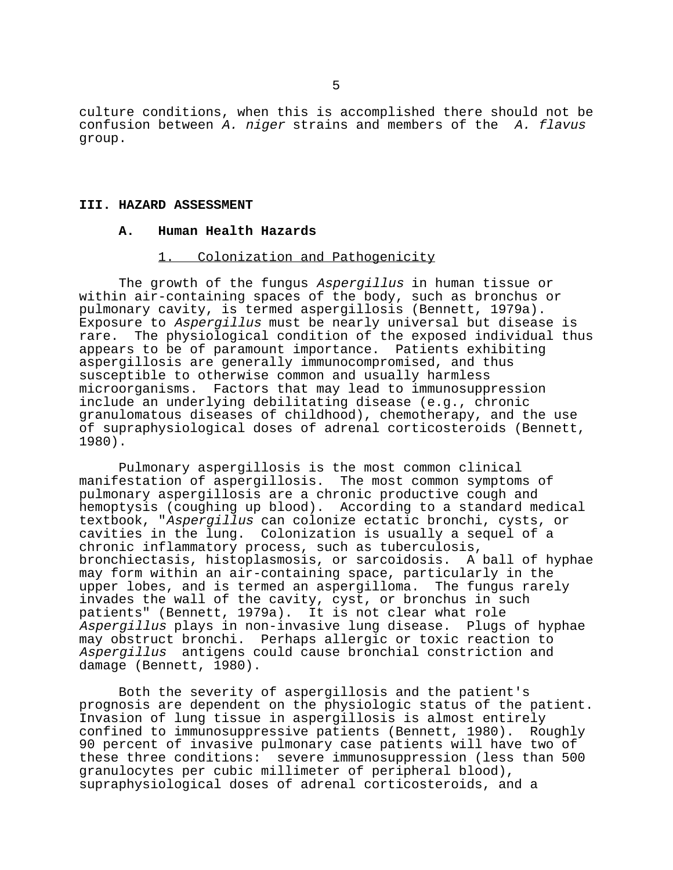culture conditions, when this is accomplished there should not be confusion between A. niger strains and members of the A. flavus group.

## **III. HAZARD ASSESSMENT**

#### **A. Human Health Hazards**

### 1. Colonization and Pathogenicity

The growth of the fungus Aspergillus in human tissue or within air-containing spaces of the body, such as bronchus or pulmonary cavity, is termed aspergillosis (Bennett, 1979a). Exposure to Aspergillus must be nearly universal but disease is rare. The physiological condition of the exposed individual thus appears to be of paramount importance. Patients exhibiting aspergillosis are generally immunocompromised, and thus susceptible to otherwise common and usually harmless microorganisms. Factors that may lead to immunosuppression include an underlying debilitating disease (e.g., chronic granulomatous diseases of childhood), chemotherapy, and the use of supraphysiological doses of adrenal corticosteroids (Bennett, 1980).

Pulmonary aspergillosis is the most common clinical manifestation of aspergillosis. The most common symptoms of pulmonary aspergillosis are a chronic productive cough and hemoptysis (coughing up blood). According to a standard medical textbook, "Aspergillus can colonize ectatic bronchi, cysts, or cavities in the lung. Colonization is usually a sequel of a chronic inflammatory process, such as tuberculosis, bronchiectasis, histoplasmosis, or sarcoidosis. A ball of hyphae may form within an air-containing space, particularly in the upper lobes, and is termed an aspergilloma. The fungus rarely invades the wall of the cavity, cyst, or bronchus in such patients" (Bennett, 1979a). It is not clear what role Aspergillus plays in non-invasive lung disease. Plugs of hyphae may obstruct bronchi. Perhaps allergic or toxic reaction to Aspergillus antigens could cause bronchial constriction and damage (Bennett, 1980).

Both the severity of aspergillosis and the patient's prognosis are dependent on the physiologic status of the patient. Invasion of lung tissue in aspergillosis is almost entirely confined to immunosuppressive patients (Bennett, 1980). Roughly 90 percent of invasive pulmonary case patients will have two of these three conditions: severe immunosuppression (less than 500 granulocytes per cubic millimeter of peripheral blood), supraphysiological doses of adrenal corticosteroids, and a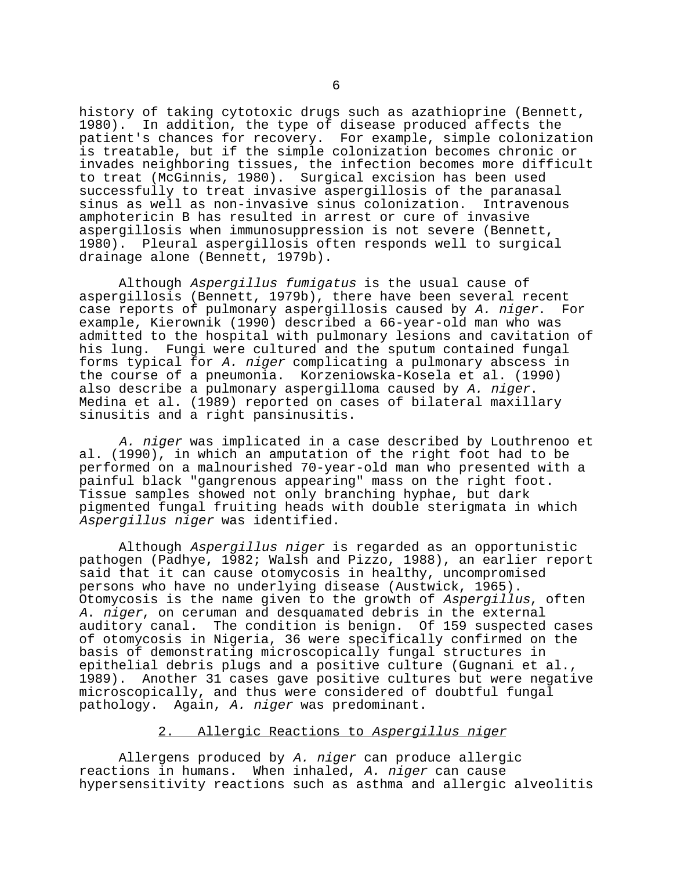history of taking cytotoxic drugs such as azathioprine (Bennett, 1980). In addition, the type of disease produced affects the patient's chances for recovery. For example, simple colonization is treatable, but if the simple colonization becomes chronic or invades neighboring tissues, the infection becomes more difficult to treat (McGinnis, 1980). Surgical excision has been used successfully to treat invasive aspergillosis of the paranasal sinus as well as non-invasive sinus colonization. Intravenous amphotericin B has resulted in arrest or cure of invasive aspergillosis when immunosuppression is not severe (Bennett, 1980). Pleural aspergillosis often responds well to surgical drainage alone (Bennett, 1979b).

Although Aspergillus fumigatus is the usual cause of aspergillosis (Bennett, 1979b), there have been several recent case reports of pulmonary aspergillosis caused by A. niger. For example, Kierownik (1990) described a 66-year-old man who was admitted to the hospital with pulmonary lesions and cavitation of his lung. Fungi were cultured and the sputum contained fungal forms typical for A. niger complicating a pulmonary abscess in the course of a pneumonia. Korzeniowska-Kosela et al. (1990) also describe a pulmonary aspergilloma caused by A. niger.<br>Medina et al. (1989) reported on cases of bilateral maxillary sinusitis and a right pansinusitis.

A. niger was implicated in a case described by Louthrenoo et al. (1990), in which an amputation of the right foot had to be performed on a malnourished 70-year-old man who presented with a painful black "gangrenous appearing" mass on the right foot. Tissue samples showed not only branching hyphae, but dark pigmented fungal fruiting heads with double sterigmata in which Aspergillus niger was identified.

Although Aspergillus niger is regarded as an opportunistic pathogen (Padhye, 1982; Walsh and Pizzo, 1988), an earlier report said that it can cause otomycosis in healthy, uncompromised persons who have no underlying disease (Austwick, 1965). Otomycosis is the name given to the growth of Aspergillus, often <sup>A</sup>. niger, on ceruman and desquamated debris in the external auditory canal. The condition is benign. Of 159 suspected cases of otomycosis in Nigeria, 36 were specifically confirmed on the basis of demonstrating microscopically fungal structures in epithelial debris plugs and a positive culture (Gugnani et al., 1989). Another 31 cases gave positive cultures but were negative microscopically, and thus were considered of doubtful fungal pathology. Again, A. niger was predominant.

# 2. Allergic Reactions to Aspergillus niger

Allergens produced by A. niger can produce allergic reactions in humans. When inhaled, A. niger can cause hypersensitivity reactions such as asthma and allergic alveolitis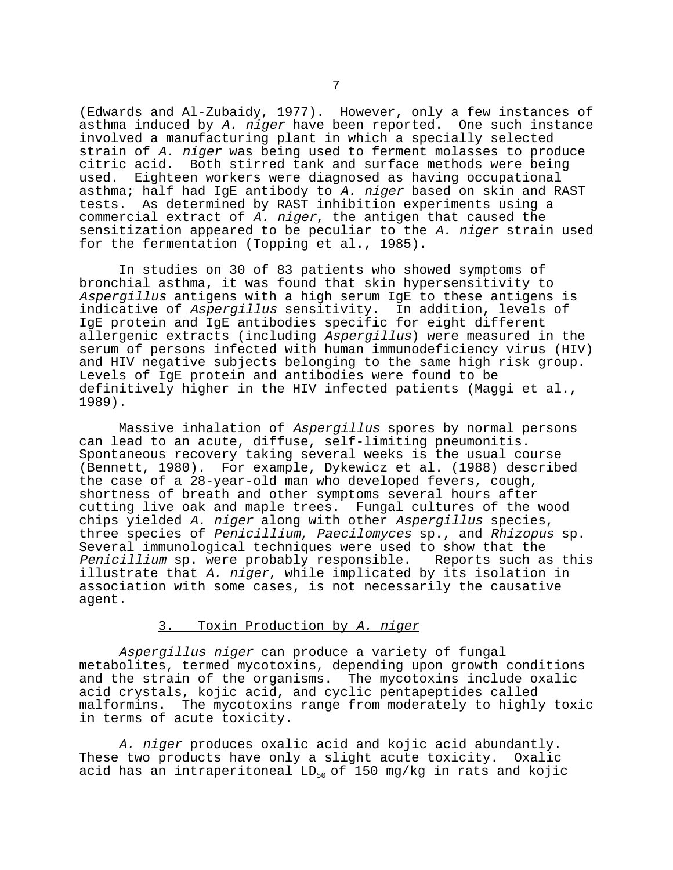(Edwards and Al-Zubaidy, 1977). However, only a few instances of asthma induced by A. niger have been reported. One such instance involved a manufacturing plant in which a specially selected strain of A. niger was being used to ferment molasses to produce citric acid. Both stirred tank and surface methods were being used. Eighteen workers were diagnosed as having occupational asthma; half had IgE antibody to A. niger based on skin and RAST tests. As determined by RAST inhibition experiments using a commercial extract of A. niger, the antigen that caused the sensitization appeared to be peculiar to the A. niger strain used for the fermentation (Topping et al., 1985).

In studies on 30 of 83 patients who showed symptoms of bronchial asthma, it was found that skin hypersensitivity to Aspergillus antigens with a high serum IgE to these antigens is indicative of Aspergillus sensitivity. In addition, levels of IgE protein and IgE antibodies specific for eight different allergenic extracts (including Aspergillus) were measured in the serum of persons infected with human immunodeficiency virus (HIV) and HIV negative subjects belonging to the same high risk group. Levels of IgE protein and antibodies were found to be definitively higher in the HIV infected patients (Maggi et al., 1989).

Massive inhalation of Aspergillus spores by normal persons can lead to an acute, diffuse, self-limiting pneumonitis. Spontaneous recovery taking several weeks is the usual course (Bennett, 1980). For example, Dykewicz et al. (1988) described the case of a 28-year-old man who developed fevers, cough, shortness of breath and other symptoms several hours after cutting live oak and maple trees. Fungal cultures of the wood chips yielded A. niger along with other Aspergillus species, three species of Penicillium, Paecilomyces sp., and Rhizopus sp. Several immunological techniques were used to show that the Penicillium sp. were probably responsible. Reports such as this illustrate that A. niger, while implicated by its isolation in association with some cases, is not necessarily the causative agent.

## 3. Toxin Production by A. niger

Aspergillus niger can produce a variety of fungal metabolites, termed mycotoxins, depending upon growth conditions and the strain of the organisms. The mycotoxins include oxalic acid crystals, kojic acid, and cyclic pentapeptides called malformins. The mycotoxins range from moderately to highly toxic in terms of acute toxicity.

A. niger produces oxalic acid and kojic acid abundantly. These two products have only a slight acute toxicity. Oxalic acid has an intraperitoneal  $LD_{50}$  of 150 mg/kg in rats and kojic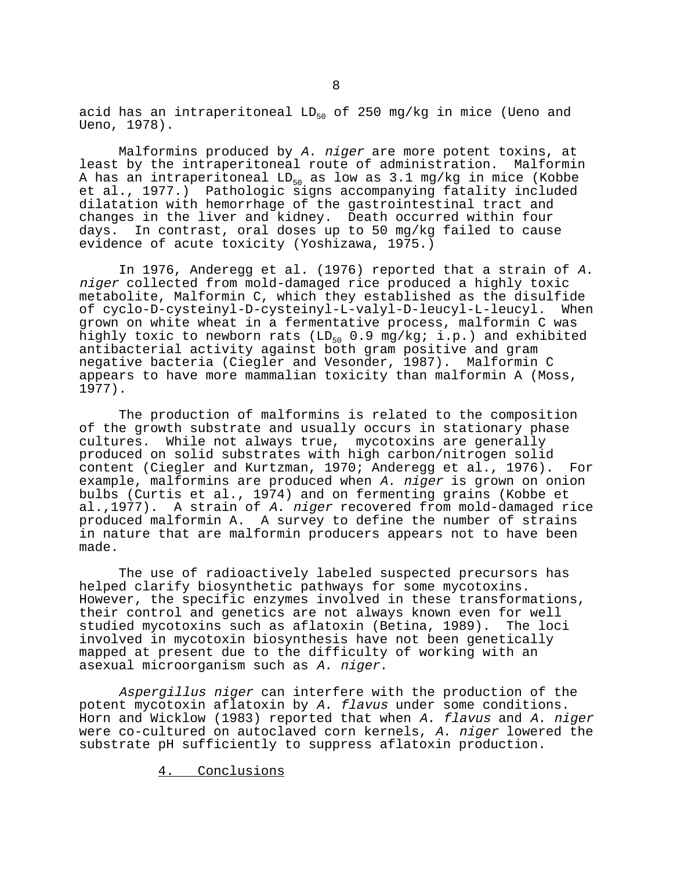acid has an intraperitoneal  $LD_{50}$  of 250 mg/kg in mice (Ueno and Ueno, 1978).

Malformins produced by A. niger are more potent toxins, at least by the intraperitoneal route of administration. Malformin A has an intraperitoneal  $LD_{50}$  as low as 3.1 mg/kg in mice (Kobbe et al., 1977.) Pathologic signs accompanying fatality included dilatation with hemorrhage of the gastrointestinal tract and changes in the liver and kidney. Death occurred within four days. In contrast, oral doses up to 50 mg/kg failed to cause evidence of acute toxicity (Yoshizawa, 1975.)

In 1976, Anderegg et al. (1976) reported that a strain of A. niger collected from mold-damaged rice produced a highly toxic metabolite, Malformin C, which they established as the disulfide of cyclo-D-cysteinyl-D-cysteinyl-L-valyl-D-leucyl-L-leucyl. When grown on white wheat in a fermentative process, malformin C was highly toxic to newborn rats (LD<sub>50</sub> 0.9 mg/kg; i.p.) and exhibited antibacterial activity against both gram positive and gram negative bacteria (Ciegler and Vesonder, 1987). Malformin C appears to have more mammalian toxicity than malformin A (Moss, 1977).

The production of malformins is related to the composition of the growth substrate and usually occurs in stationary phase cultures. While not always true, mycotoxins are generally produced on solid substrates with high carbon/nitrogen solid content (Ciegler and Kurtzman, 1970; Anderegg et al., 1976). For example, malformins are produced when A. niger is grown on onion bulbs (Curtis et al., 1974) and on fermenting grains (Kobbe et al.,1977). A strain of A. niger recovered from mold-damaged rice produced malformin A. A survey to define the number of strains in nature that are malformin producers appears not to have been made.

The use of radioactively labeled suspected precursors has helped clarify biosynthetic pathways for some mycotoxins. However, the specific enzymes involved in these transformations, their control and genetics are not always known even for well studied mycotoxins such as aflatoxin (Betina, 1989). The loci involved in mycotoxin biosynthesis have not been genetically mapped at present due to the difficulty of working with an asexual microorganism such as A. niger.

Aspergillus niger can interfere with the production of the potent mycotoxin aflatoxin by A. flavus under some conditions. Horn and Wicklow (1983) reported that when A. flavus and A. niger were co-cultured on autoclaved corn kernels, A. niger lowered the substrate pH sufficiently to suppress aflatoxin production.

4. Conclusions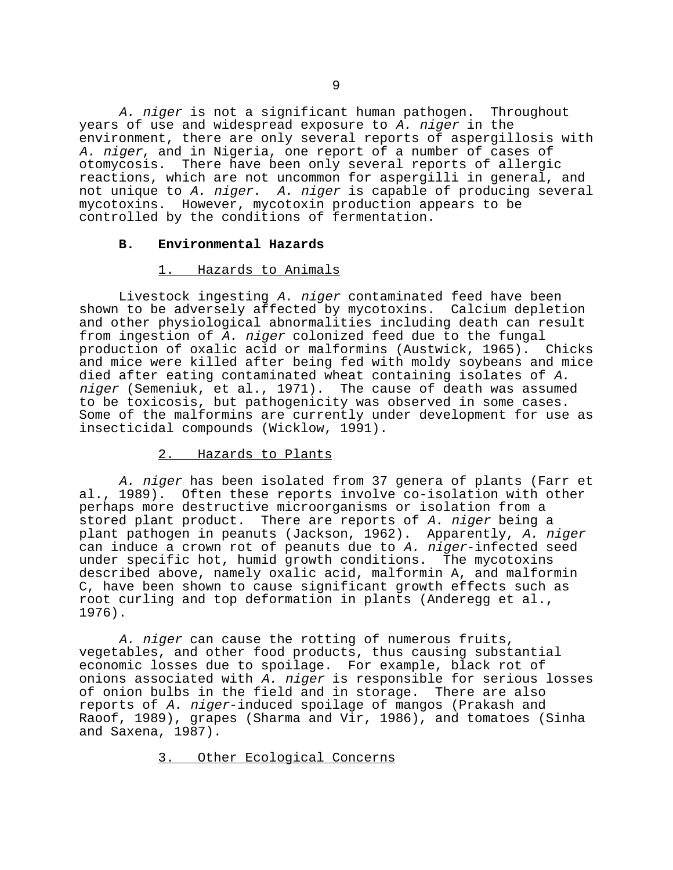A. niger is not a significant human pathogen. Throughout years of use and widespread exposure to A. niger in the environment, there are only several reports of aspergillosis with A. niger, and in Nigeria, one report of a number of cases of otomycosis. There have been only several reports of allergic reactions, which are not uncommon for aspergilli in general, and not unique to A. niger. A. niger is capable of producing several mycotoxins. However, mycotoxin production appears to be controlled by the conditions of fermentation.

## **B. Environmental Hazards**

## 1. Hazards to Animals

Livestock ingesting A. niger contaminated feed have been shown to be adversely affected by mycotoxins. Calcium depletion and other physiological abnormalities including death can result from ingestion of A. niger colonized feed due to the fungal production of oxalic acid or malformins (Austwick, 1965). Chicks and mice were killed after being fed with moldy soybeans and mice died after eating contaminated wheat containing isolates of A. niger (Semeniuk, et al., 1971). The cause of death was assumed to be toxicosis, but pathogenicity was observed in some cases. Some of the malformins are currently under development for use as insecticidal compounds (Wicklow, 1991).

# 2. Hazards to Plants

A. niger has been isolated from 37 genera of plants (Farr et al., 1989). Often these reports involve co-isolation with other perhaps more destructive microorganisms or isolation from a stored plant product. There are reports of A. niger being a plant pathogen in peanuts (Jackson, 1962). Apparently, A. niger can induce a crown rot of peanuts due to A. niger-infected seed under specific hot, humid growth conditions. The mycotoxins described above, namely oxalic acid, malformin A, and malformin C, have been shown to cause significant growth effects such as root curling and top deformation in plants (Anderegg et al., 1976).

A. niger can cause the rotting of numerous fruits, vegetables, and other food products, thus causing substantial economic losses due to spoilage. For example, black rot of onions associated with A. niger is responsible for serious losses of onion bulbs in the field and in storage. There are also reports of A. niger-induced spoilage of mangos (Prakash and Raoof, 1989), grapes (Sharma and Vir, 1986), and tomatoes (Sinha and Saxena, 1987).

3. Other Ecological Concerns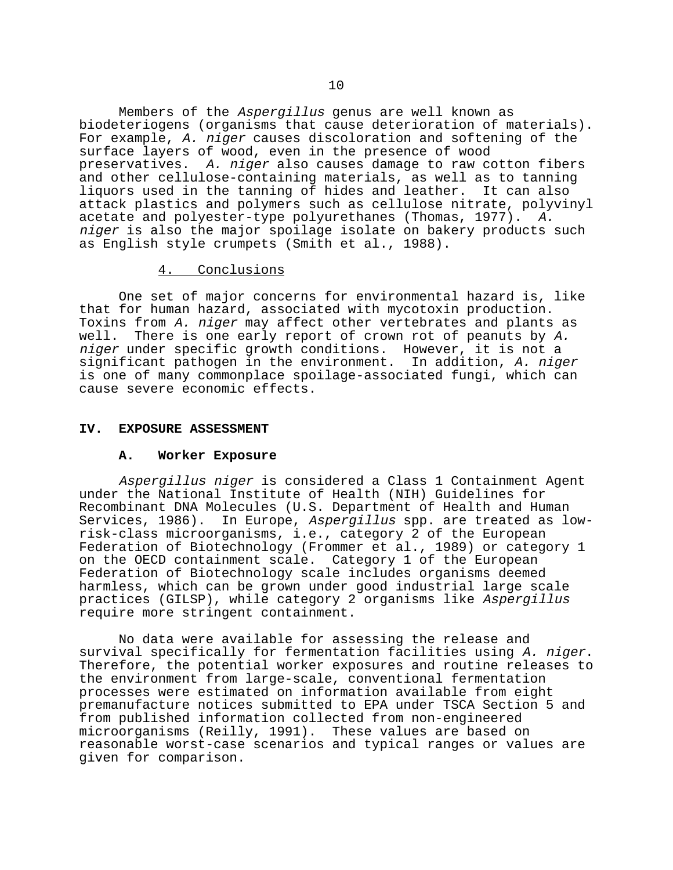Members of the Aspergillus genus are well known as biodeteriogens (organisms that cause deterioration of materials). For example, A. niger causes discoloration and softening of the surface layers of wood, even in the presence of wood preservatives. A. niger also causes damage to raw cotton fibers and other cellulose-containing materials, as well as to tanning liquors used in the tanning of hides and leather. It can also attack plastics and polymers such as cellulose nitrate, polyvinyl acetate and polyester-type polyurethanes (Thomas, 1977). A. niger is also the major spoilage isolate on bakery products such as English style crumpets (Smith et al., 1988).

## 4. Conclusions

One set of major concerns for environmental hazard is, like that for human hazard, associated with mycotoxin production. Toxins from A. niger may affect other vertebrates and plants as well. There is one early report of crown rot of peanuts by A. niger under specific growth conditions. However, it is not a significant pathogen in the environment. In addition, A. niger is one of many commonplace spoilage-associated fungi, which can cause severe economic effects.

### **IV. EXPOSURE ASSESSMENT**

### **A. Worker Exposure**

Aspergillus niger is considered a Class 1 Containment Agent under the National Institute of Health (NIH) Guidelines for Recombinant DNA Molecules (U.S. Department of Health and Human Services, 1986). In Europe, Aspergillus spp. are treated as lowrisk-class microorganisms, i.e., category 2 of the European Federation of Biotechnology (Frommer et al., 1989) or category 1 on the OECD containment scale. Category 1 of the European Federation of Biotechnology scale includes organisms deemed harmless, which can be grown under good industrial large scale practices (GILSP), while category 2 organisms like Aspergillus require more stringent containment.

No data were available for assessing the release and survival specifically for fermentation facilities using A. niger.<br>Therefore, the potential worker exposures and routine releases to the environment from large-scale, conventional fermentation processes were estimated on information available from eight premanufacture notices submitted to EPA under TSCA Section 5 and from published information collected from non-engineered microorganisms (Reilly, 1991). These values are based on reasonable worst-case scenarios and typical ranges or values are given for comparison.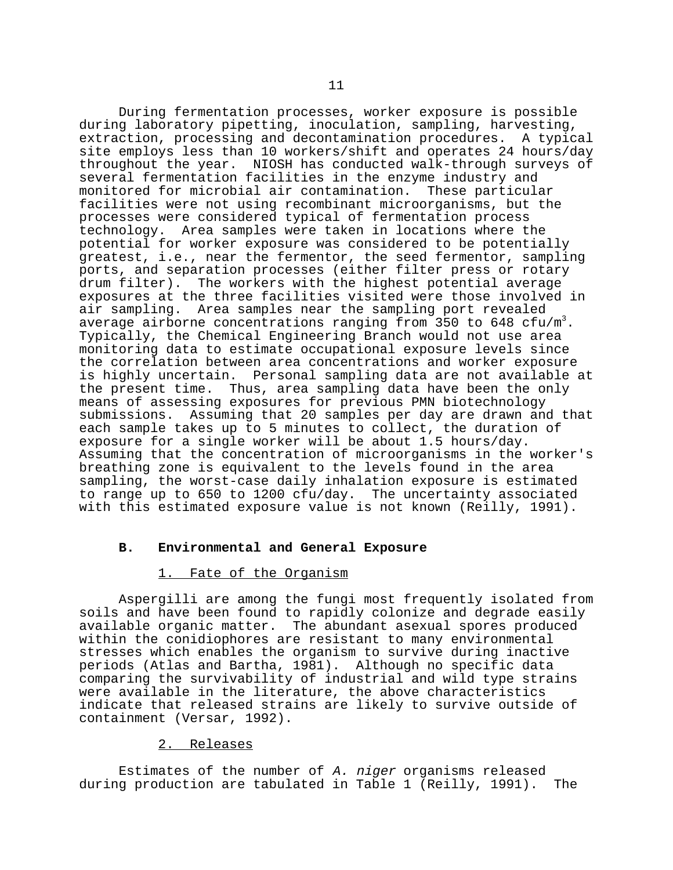During fermentation processes, worker exposure is possible during laboratory pipetting, inoculation, sampling, harvesting, extraction, processing and decontamination procedures. A typical site employs less than 10 workers/shift and operates 24 hours/day throughout the year. NIOSH has conducted walk-through surveys of several fermentation facilities in the enzyme industry and monitored for microbial air contamination. These particular facilities were not using recombinant microorganisms, but the processes were considered typical of fermentation process technology. Area samples were taken in locations where the potential for worker exposure was considered to be potentially greatest, i.e., near the fermentor, the seed fermentor, sampling ports, and separation processes (either filter press or rotary drum filter). The workers with the highest potential average exposures at the three facilities visited were those involved in air sampling. Area samples near the sampling port revealed average airborne concentrations ranging from 350 to 648 cfu/m<sup>3</sup>. Typically, the Chemical Engineering Branch would not use area monitoring data to estimate occupational exposure levels since the correlation between area concentrations and worker exposure is highly uncertain. Personal sampling data are not available at the present time. Thus, area sampling data have been the only means of assessing exposures for previous PMN biotechnology submissions. Assuming that 20 samples per day are drawn and that each sample takes up to 5 minutes to collect, the duration of exposure for a single worker will be about 1.5 hours/day. Assuming that the concentration of microorganisms in the worker's breathing zone is equivalent to the levels found in the area sampling, the worst-case daily inhalation exposure is estimated to range up to 650 to 1200 cfu/day. The uncertainty associated with this estimated exposure value is not known (Reilly, 1991).

## **B. Environmental and General Exposure**

1. Fate of the Organism<br>Aspergilli are among the fungi most frequently isolated from soils and have been found to rapidly colonize and degrade easily available organic matter. The abundant asexual spores produced within the conidiophores are resistant to many environmental stresses which enables the organism to survive during inactive periods (Atlas and Bartha, 1981). Although no specific data comparing the survivability of industrial and wild type strains were available in the literature, the above characteristics indicate that released strains are likely to survive outside of containment (Versar, 1992).

# 2. Releases

Estimates of the number of A. niger organisms released during production are tabulated in Table 1 (Reilly, 1991). The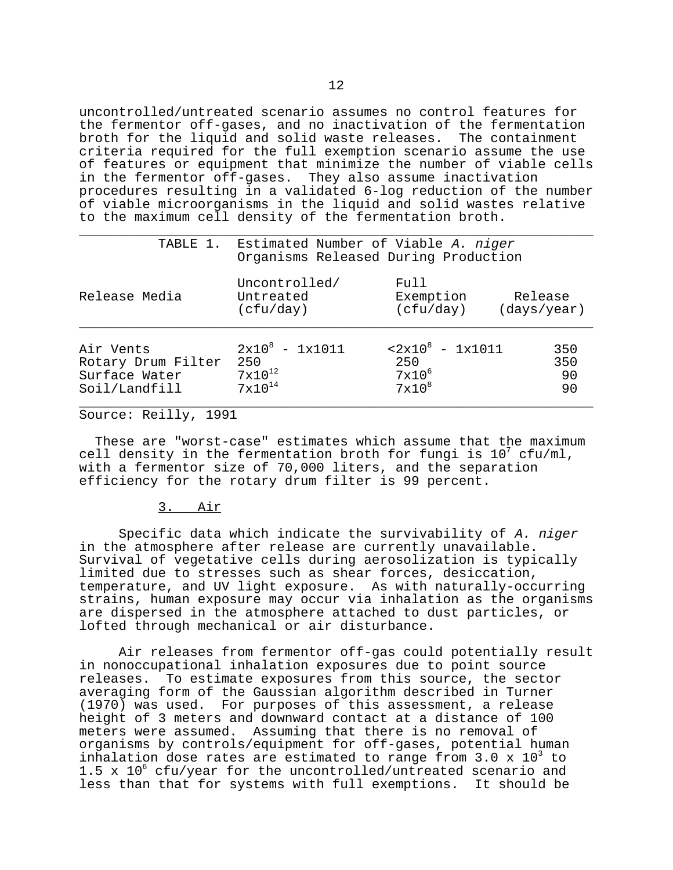uncontrolled/untreated scenario assumes no control features for the fermentor off-gases, and no inactivation of the fermentation broth for the liquid and solid waste releases. The containment criteria required for the full exemption scenario assume the use of features or equipment that minimize the number of viable cells in the fermentor off-gases. They also assume inactivation procedures resulting in a validated 6-log reduction of the number of viable microorganisms in the liquid and solid wastes relative to the maximum cell density of the fermentation broth.

|                                                                   | TABLE 1. Estimated Number of Viable A. niger<br>Organisms Released During Production |                                                                  |                        |  |  |
|-------------------------------------------------------------------|--------------------------------------------------------------------------------------|------------------------------------------------------------------|------------------------|--|--|
| Release Media                                                     | Uncontrolled/<br>Untreated<br>(cfu/day)                                              | Full<br>Exemption<br>(cfu/day)                                   | Release<br>(days/year) |  |  |
| Air Vents<br>Rotary Drum Filter<br>Surface Water<br>Soil/Landfill | $2x10^8 - 1x1011$<br>250<br>$7 \times 10^{12}$<br>$7 \times 10^{14}$                 | $< 2x10^8 - 1x1011$<br>250<br>$7 \times 10^6$<br>$7 \times 10^8$ | 350<br>350<br>90<br>90 |  |  |

Source: Reilly, 1991

 These are "worst-case" estimates which assume that the maximum cell density in the fermentation broth for fungi is  $10^7$  cfu/ml, with a fermentor size of 70,000 liters, and the separation efficiency for the rotary drum filter is 99 percent.

## 3. Air

Specific data which indicate the survivability of A. niger in the atmosphere after release are currently unavailable. Survival of vegetative cells during aerosolization is typically limited due to stresses such as shear forces, desiccation, temperature, and UV light exposure. As with naturally-occurring strains, human exposure may occur via inhalation as the organisms are dispersed in the atmosphere attached to dust particles, or lofted through mechanical or air disturbance.

Air releases from fermentor off-gas could potentially result in nonoccupational inhalation exposures due to point source releases. To estimate exposures from this source, the sector averaging form of the Gaussian algorithm described in Turner (1970) was used. For purposes of this assessment, a release height of 3 meters and downward contact at a distance of 100 meters were assumed. Assuming that there is no removal of organisms by controls/equipment for off-gases, potential human inhalation dose rates are estimated to range from 3.0 x  $10^3$  to 1.5 x  $10^6$  cfu/year for the uncontrolled/untreated scenario and less than that for systems with full exemptions. It should be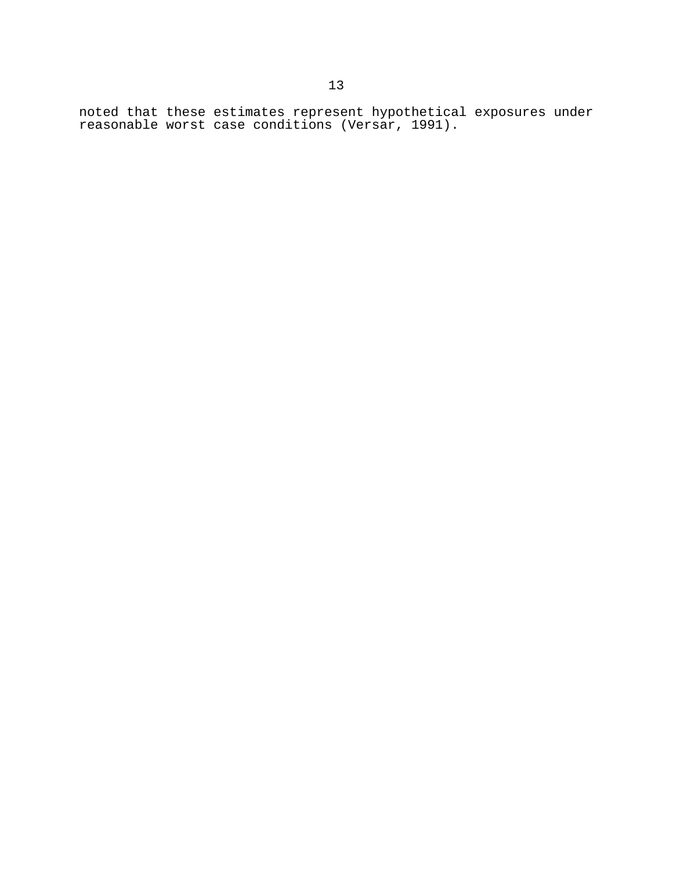noted that these estimates represent hypothetical exposures under reasonable worst case conditions (Versar, 1991).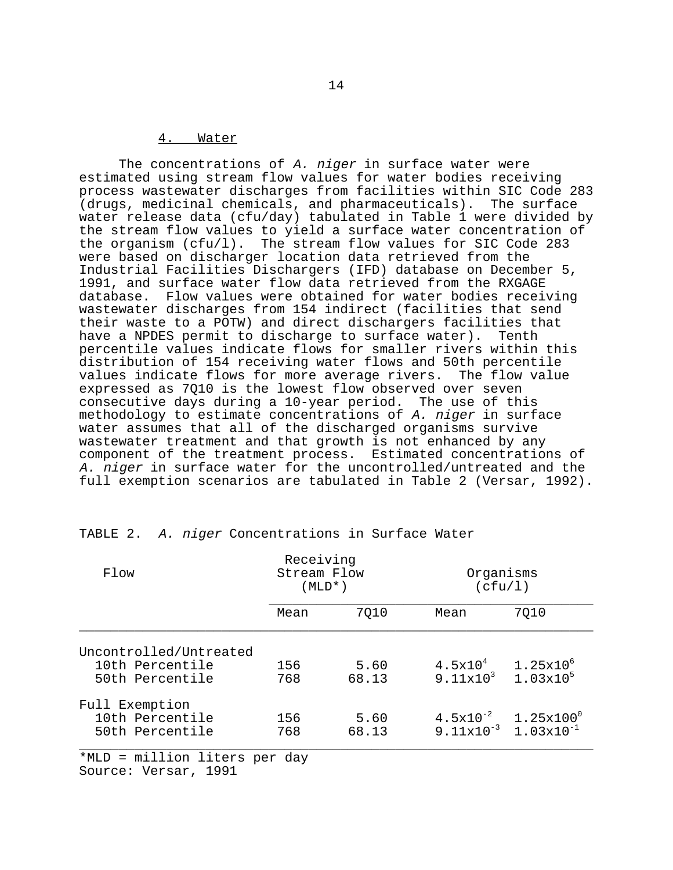# 4. Water

The concentrations of  $A$ . niger in surface water were estimated using stream flow values for water bodies receiving process wastewater discharges from facilities within SIC Code 283 (drugs, medicinal chemicals, and pharmaceuticals). The surface water release data (cfu/day) tabulated in Table 1 were divided by the stream flow values to yield a surface water concentration of the organism (cfu/l). The stream flow values for SIC Code 283 were based on discharger location data retrieved from the Industrial Facilities Dischargers (IFD) database on December 5, 1991, and surface water flow data retrieved from the RXGAGE database. Flow values were obtained for water bodies receiving wastewater discharges from 154 indirect (facilities that send their waste to a POTW) and direct dischargers facilities that have a NPDES permit to discharge to surface water). Tenth percentile values indicate flows for smaller rivers within this distribution of 154 receiving water flows and 50th percentile values indicate flows for more average rivers. The flow value expressed as 7Q10 is the lowest flow observed over seven consecutive days during a 10-year period. The use of this methodology to estimate concentrations of A. niger in surface water assumes that all of the discharged organisms survive wastewater treatment and that growth is not enhanced by any component of the treatment process. Estimated concentrations of A. niger in surface water for the uncontrolled/untreated and the full exemption scenarios are tabulated in Table 2 (Versar, 1992).

| Flow                                                         | Receiving<br>Stream Flow<br>(MLD*) |               |                                                              | Organisms<br>(cfu/l)   |  |
|--------------------------------------------------------------|------------------------------------|---------------|--------------------------------------------------------------|------------------------|--|
|                                                              | Mean                               | 7010          | Mean                                                         | 7010                   |  |
| Uncontrolled/Untreated<br>10th Percentile<br>50th Percentile | 156<br>768                         | 5.60<br>68.13 | $4.5x10^{4}$<br>$9.11 \times 10^3$ 1.03 $\times 10^5$        | $1.25 \mathrm{x} 10^6$ |  |
| Full Exemption<br>10th Percentile<br>50th Percentile         | 156<br>768                         | 5.60<br>68.13 | $4.5x10^{-2}$<br>$9.11 \times 10^{-3}$ 1.03 $\times 10^{-1}$ | $1.25x100^\circ$       |  |

TABLE 2. A. niger Concentrations in Surface Water

\*MLD = million liters per day Source: Versar, 1991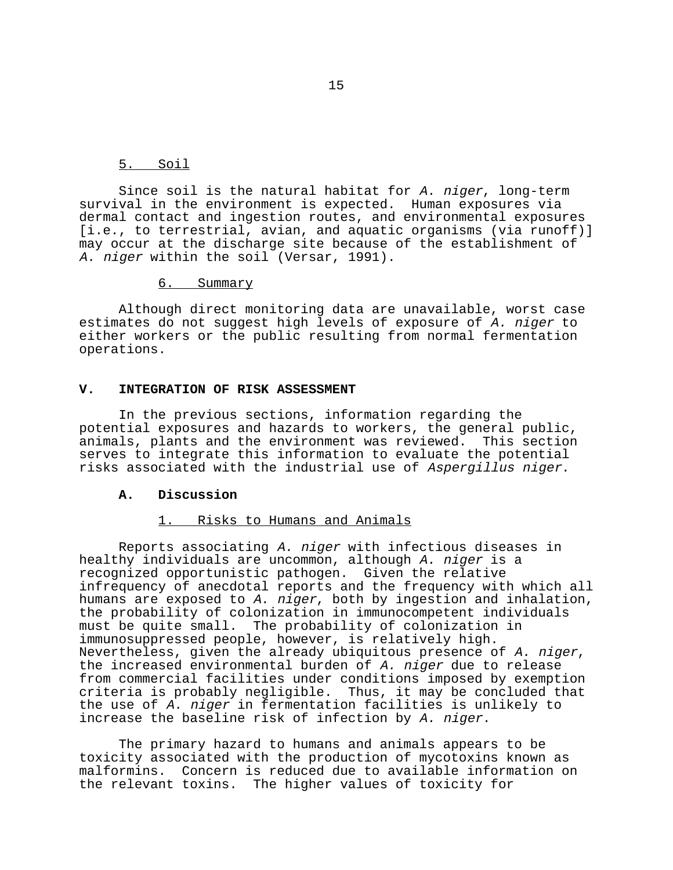## 5. Soil

Since soil is the natural habitat for A. niger, long-term survival in the environment is expected. Human exposures via dermal contact and ingestion routes, and environmental exposures [i.e., to terrestrial, avian, and aquatic organisms (via runoff)] may occur at the discharge site because of the establishment of A. niger within the soil (Versar, 1991).

6. Summary

Although direct monitoring data are unavailable, worst case estimates do not suggest high levels of exposure of A. niger to either workers or the public resulting from normal fermentation operations.

## **V. INTEGRATION OF RISK ASSESSMENT**

In the previous sections, information regarding the potential exposures and hazards to workers, the general public, animals, plants and the environment was reviewed. This section serves to integrate this information to evaluate the potential risks associated with the industrial use of Aspergillus niger.

## **A. Discussion**

# 1. Risks to Humans and Animals

Reports associating A. niger with infectious diseases in healthy individuals are uncommon, although A. niger is a recognized opportunistic pathogen. Given the relative infrequency of anecdotal reports and the frequency with which all humans are exposed to A. niger, both by ingestion and inhalation, the probability of colonization in immunocompetent individuals must be quite small. The probability of colonization in immunosuppressed people, however, is relatively high. Nevertheless, given the already ubiquitous presence of A. niger,<br>the increased environmental burden of A. niger due to release from commercial facilities under conditions imposed by exemption criteria is probably negligible. Thus, it may be concluded that the use of A. niger in fermentation facilities is unlikely to increase the baseline risk of infection by A. niger.

The primary hazard to humans and animals appears to be toxicity associated with the production of mycotoxins known as malformins. Concern is reduced due to available information on the relevant toxins. The higher values of toxicity for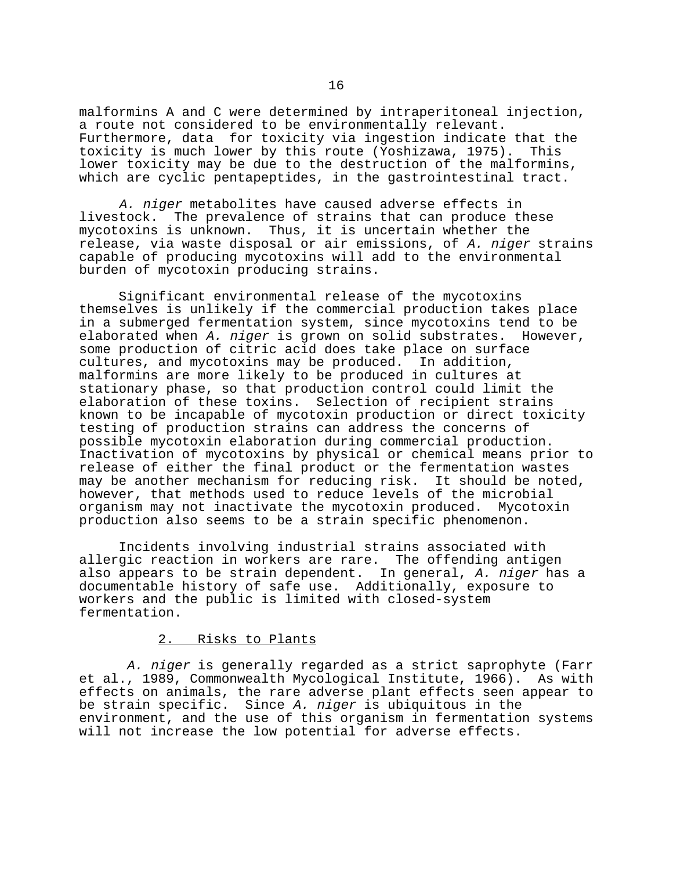malformins A and C were determined by intraperitoneal injection, a route not considered to be environmentally relevant. Furthermore, data for toxicity via ingestion indicate that the toxicity is much lower by this route (Yoshizawa, 1975). This lower toxicity may be due to the destruction of the malformins, which are cyclic pentapeptides, in the gastrointestinal tract.

A. niger metabolites have caused adverse effects in livestock. The prevalence of strains that can produce these mycotoxins is unknown. Thus, it is uncertain whether the release, via waste disposal or air emissions, of A. niger strains capable of producing mycotoxins will add to the environmental burden of mycotoxin producing strains.

Significant environmental release of the mycotoxins themselves is unlikely if the commercial production takes place in a submerged fermentation system, since mycotoxins tend to be elaborated when A. niger is grown on solid substrates. However, some production of citric acid does take place on surface cultures, and mycotoxins may be produced. In addition, malformins are more likely to be produced in cultures at stationary phase, so that production control could limit the elaboration of these toxins. Selection of recipient strains known to be incapable of mycotoxin production or direct toxicity testing of production strains can address the concerns of possible mycotoxin elaboration during commercial production. Inactivation of mycotoxins by physical or chemical means prior to release of either the final product or the fermentation wastes may be another mechanism for reducing risk. It should be noted, however, that methods used to reduce levels of the microbial organism may not inactivate the mycotoxin produced. Mycotoxin production also seems to be a strain specific phenomenon.

Incidents involving industrial strains associated with allergic reaction in workers are rare. The offending antigen also appears to be strain dependent. In general, A. niger has a documentable history of safe use. Additionally, exposure to workers and the public is limited with closed-system fermentation.

# 2. Risks to Plants

A. niger is generally regarded as a strict saprophyte (Farr et al., 1989, Commonwealth Mycological Institute, 1966). As with effects on animals, the rare adverse plant effects seen appear to be strain specific. Since A. niger is ubiquitous in the environment, and the use of this organism in fermentation systems will not increase the low potential for adverse effects.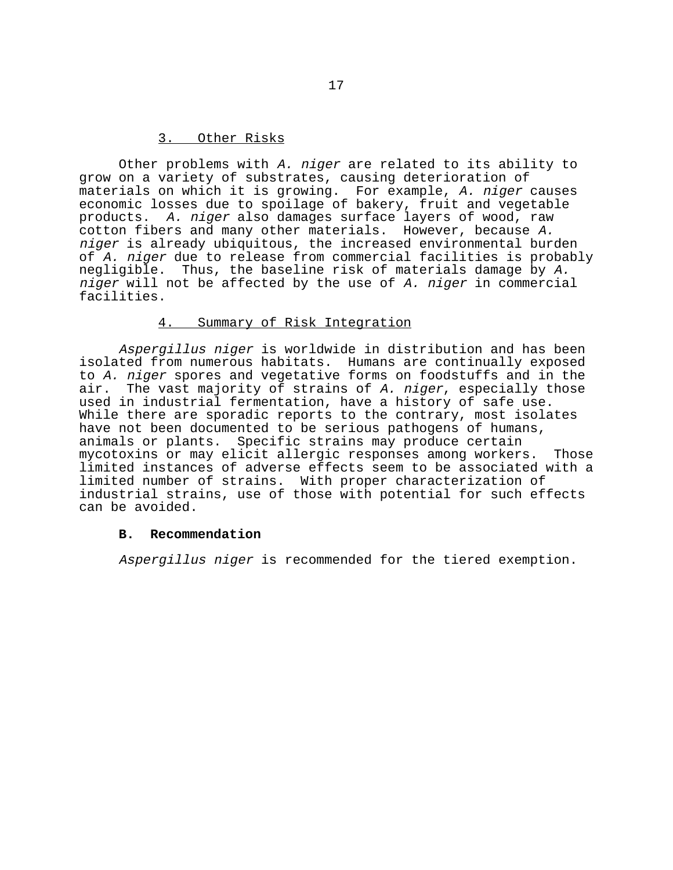# 3. Other Risks

Other problems with A. niger are related to its ability to grow on a variety of substrates, causing deterioration of materials on which it is growing. For example, A. niger causes economic losses due to spoilage of bakery, fruit and vegetable products. A. niger also damages surface layers of wood, raw cotton fibers and many other materials. However, because A. niger is already ubiquitous, the increased environmental burden of A. niger due to release from commercial facilities is probably negligible. Thus, the baseline risk of materials damage by A. niger will not be affected by the use of A. niger in commercial facilities.

## 4. Summary of Risk Integration

Aspergillus niger is worldwide in distribution and has been isolated from numerous habitats. Humans are continually exposed to A. niger spores and vegetative forms on foodstuffs and in the air. The vast majority of strains of A. niger, especially those used in industrial fermentation, have a history of safe use. While there are sporadic reports to the contrary, most isolates have not been documented to be serious pathogens of humans, animals or plants. Specific strains may produce certain mycotoxins or may elicit allergic responses among workers. Those limited instances of adverse effects seem to be associated with a limited number of strains. With proper characterization of industrial strains, use of those with potential for such effects can be avoided.

## **B. Recommendation**

Aspergillus niger is recommended for the tiered exemption.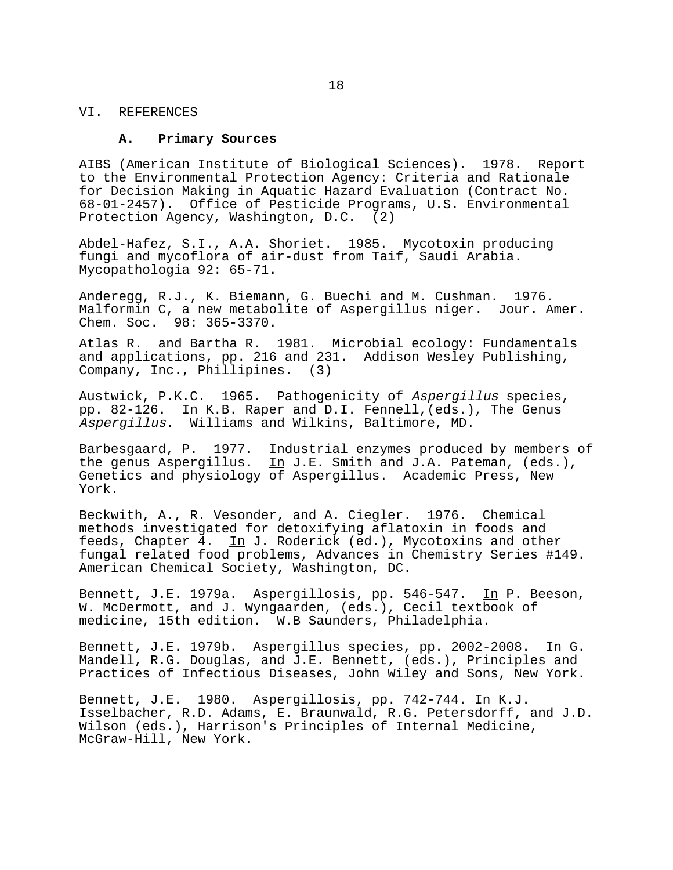#### VI. REFERENCES

### **A. Primary Sources**

AIBS (American Institute of Biological Sciences). 1978. Report to the Environmental Protection Agency: Criteria and Rationale for Decision Making in Aquatic Hazard Evaluation (Contract No. 68-01-2457). Office of Pesticide Programs, U.S. Environmental Protection Agency, Washington, D.C. (2)

Abdel-Hafez, S.I., A.A. Shoriet. 1985. Mycotoxin producing fungi and mycoflora of air-dust from Taif, Saudi Arabia. Mycopathologia 92: 65-71.

Anderegg, R.J., K. Biemann, G. Buechi and M. Cushman. 1976. Malformin C, a new metabolite of Aspergillus niger. Jour. Amer. Chem. Soc. 98: 365-3370.

Atlas R. and Bartha R. 1981. Microbial ecology: Fundamentals and applications, pp. 216 and 231. Addison Wesley Publishing, Company, Inc., Phillipines. (3)

Austwick, P.K.C. 1965. Pathogenicity of Aspergillus species, pp. 82-126. In K.B. Raper and D.I. Fennell,(eds.), The Genus Aspergillus. Williams and Wilkins, Baltimore, MD.

Barbesgaard, P. 1977. Industrial enzymes produced by members of the genus Aspergillus. In J.E. Smith and J.A. Pateman, (eds.), Genetics and physiology of Aspergillus. Academic Press, New York.

Beckwith, A., R. Vesonder, and A. Ciegler. 1976. Chemical methods investigated for detoxifying aflatoxin in foods and feeds, Chapter 4. In J. Roderick (ed.), Mycotoxins and other fungal related food problems, Advances in Chemistry Series #149. American Chemical Society, Washington, DC.

Bennett, J.E. 1979a. Aspergillosis, pp. 546-547. In P. Beeson, W. McDermott, and J. Wyngaarden, (eds.), Cecil textbook of medicine, 15th edition. W.B Saunders, Philadelphia.

Bennett, J.E. 1979b. Aspergillus species, pp. 2002-2008. In G. Mandell, R.G. Douglas, and J.E. Bennett, (eds.), Principles and Practices of Infectious Diseases, John Wiley and Sons, New York.

Bennett, J.E. 1980. Aspergillosis, pp. 742-744. In K.J. Isselbacher, R.D. Adams, E. Braunwald, R.G. Petersdorff, and J.D. Wilson (eds.), Harrison's Principles of Internal Medicine, McGraw-Hill, New York.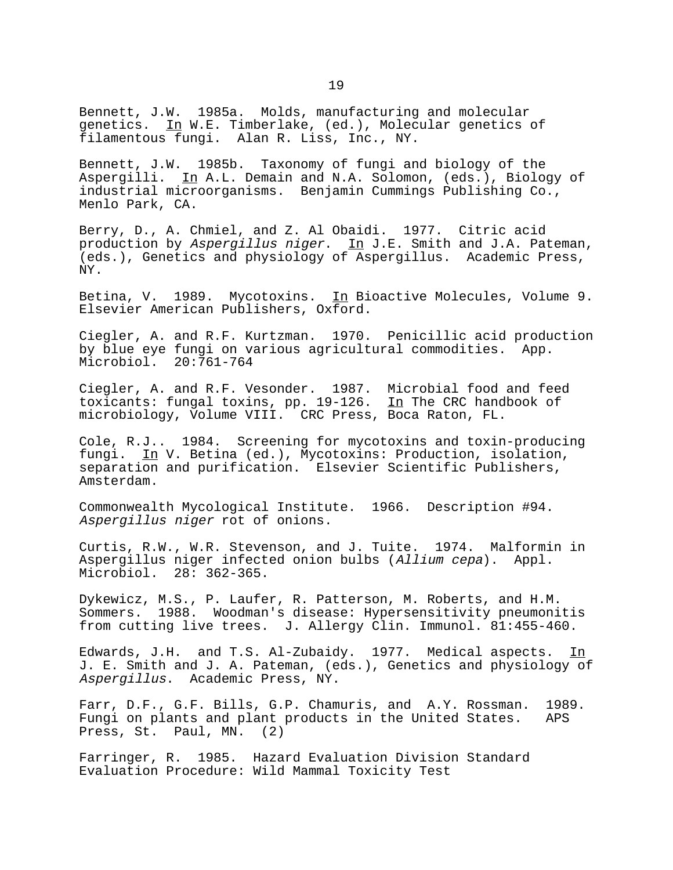Bennett, J.W. 1985a. Molds, manufacturing and molecular genetics. In W.E. Timberlake, (ed.), Molecular genetics of filamentous fungi. Alan R. Liss, Inc., NY.

Bennett, J.W. 1985b. Taxonomy of fungi and biology of the Aspergilli. In A.L. Demain and N.A. Solomon, (eds.), Biology of industrial microorganisms. Benjamin Cummings Publishing Co., Menlo Park, CA.

Berry, D., A. Chmiel, and Z. Al Obaidi. 1977. Citric acid production by Aspergillus niger. In J.E. Smith and J.A. Pateman, (eds.), Genetics and physiology of Aspergillus. Academic Press, NY.

Betina, V. 1989. Mycotoxins. In Bioactive Molecules, Volume 9. Elsevier American Publishers, Oxford.

Ciegler, A. and R.F. Kurtzman. 1970. Penicillic acid production by blue eye fungi on various agricultural commodities. App. Microbiol. 20:761-764

Ciegler, A. and R.F. Vesonder. 1987. Microbial food and feed toxicants: fungal toxins, pp.  $19-126$ . In The CRC handbook of microbiology, Volume VIII. CRC Press, Boca Raton, FL.

Cole, R.J.. 1984. Screening for mycotoxins and toxin-producing fungi. In V. Betina (ed.), Mycotoxins: Production, isolation, separation and purification. Elsevier Scientific Publishers, Amsterdam.

Commonwealth Mycological Institute. 1966. Description #94. Aspergillus niger rot of onions.

Curtis, R.W., W.R. Stevenson, and J. Tuite. 1974. Malformin in Aspergillus niger infected onion bulbs (Allium cepa). Appl. Microbiol. 28: 362-365.

Dykewicz, M.S., P. Laufer, R. Patterson, M. Roberts, and H.M. Sommers. 1988. Woodman's disease: Hypersensitivity pneumonitis from cutting live trees. J. Allergy Clin. Immunol. 81:455-460.

Edwards, J.H. and T.S. Al-Zubaidy. 1977. Medical aspects. In J. E. Smith and J. A. Pateman, (eds.), Genetics and physiology of Aspergillus. Academic Press, NY.

Farr, D.F., G.F. Bills, G.P. Chamuris, and A.Y. Rossman. 1989. Fungi on plants and plant products in the United States. APS Press, St. Paul, MN. (2)

Farringer, R. 1985. Hazard Evaluation Division Standard Evaluation Procedure: Wild Mammal Toxicity Test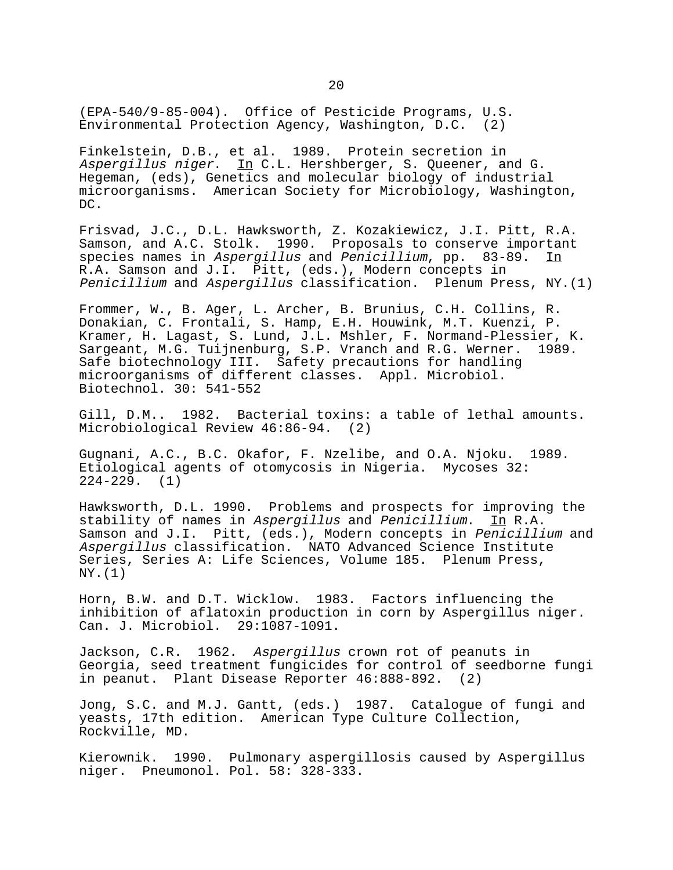(EPA-540/9-85-004). Office of Pesticide Programs, U.S. Environmental Protection Agency, Washington, D.C. (2)

Finkelstein, D.B., et al. 1989. Protein secretion in Aspergillus niger. In C.L. Hershberger, S. Queener, and G. Hegeman, (eds), Genetics and molecular biology of industrial microorganisms. American Society for Microbiology, Washington, DC.

Frisvad, J.C., D.L. Hawksworth, Z. Kozakiewicz, J.I. Pitt, R.A. Samson, and A.C. Stolk. 1990. Proposals to conserve important species names in Aspergillus and Penicillium, pp. 83-89. In R.A. Samson and J.I. Pitt, (eds.), Modern concepts in Penicillium and Aspergillus classification. Plenum Press, NY.(1)

Frommer, W., B. Ager, L. Archer, B. Brunius, C.H. Collins, R. Donakian, C. Frontali, S. Hamp, E.H. Houwink, M.T. Kuenzi, P. Kramer, H. Lagast, S. Lund, J.L. Mshler, F. Normand-Plessier, K. Sargeant, M.G. Tuijnenburg, S.P. Vranch and R.G. Werner. 1989. Safe biotechnology III. Safety precautions for handling microorganisms of different classes. Appl. Microbiol. Biotechnol. 30: 541-552

Gill, D.M.. 1982. Bacterial toxins: a table of lethal amounts. Microbiological Review 46:86-94. (2)

Gugnani, A.C., B.C. Okafor, F. Nzelibe, and O.A. Njoku. 1989. Etiological agents of otomycosis in Nigeria. Mycoses 32: 224-229. (1)

Hawksworth, D.L. 1990. Problems and prospects for improving the stability of names in Aspergillus and Penicillium. In R.A. Samson and J.I. Pitt, (eds.), Modern concepts in Penicillium and Aspergillus classification. NATO Advanced Science Institute Series, Series A: Life Sciences, Volume 185. Plenum Press, NY.(1)

Horn, B.W. and D.T. Wicklow. 1983. Factors influencing the inhibition of aflatoxin production in corn by Aspergillus niger. Can. J. Microbiol. 29:1087-1091.

Jackson, C.R. 1962. Aspergillus crown rot of peanuts in Georgia, seed treatment fungicides for control of seedborne fungi in peanut. Plant Disease Reporter 46:888-892. (2)

Jong, S.C. and M.J. Gantt, (eds.) 1987. Catalogue of fungi and yeasts, 17th edition. American Type Culture Collection, Rockville, MD.

Kierownik. 1990. Pulmonary aspergillosis caused by Aspergillus niger. Pneumonol. Pol. 58: 328-333.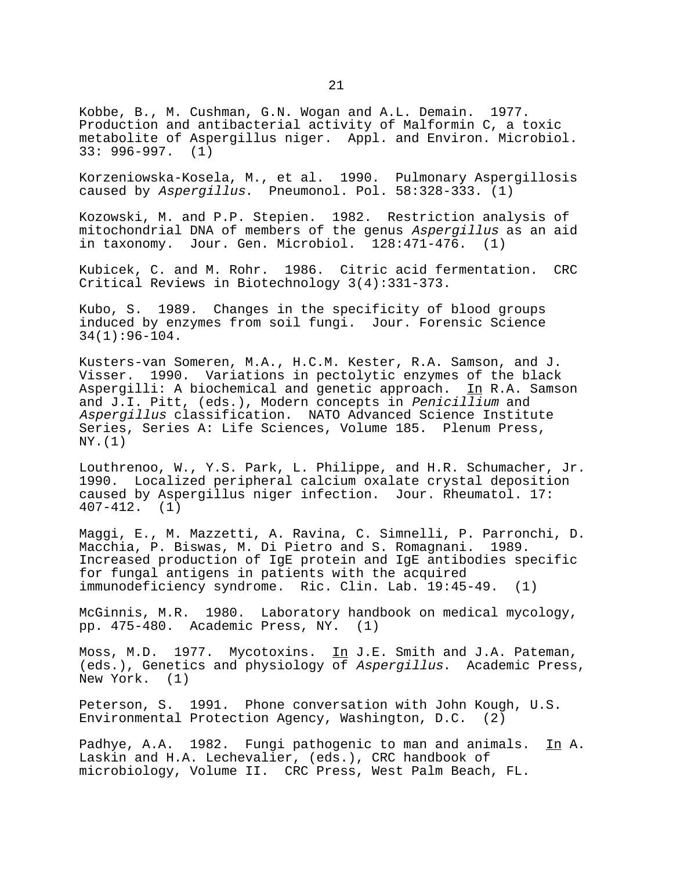Kobbe, B., M. Cushman, G.N. Wogan and A.L. Demain. 1977. Production and antibacterial activity of Malformin C, a toxic metabolite of Aspergillus niger. Appl. and Environ. Microbiol. 33: 996-997. (1)

Korzeniowska-Kosela, M., et al. 1990. Pulmonary Aspergillosis caused by Aspergillus. Pneumonol. Pol. 58:328-333. (1)

Kozowski, M. and P.P. Stepien. 1982. Restriction analysis of mitochondrial DNA of members of the genus Aspergillus as an aid in taxonomy. Jour. Gen. Microbiol. 128:471-476. (1)

Kubicek, C. and M. Rohr. 1986. Citric acid fermentation. CRC Critical Reviews in Biotechnology 3(4):331-373.

Kubo, S. 1989. Changes in the specificity of blood groups induced by enzymes from soil fungi. Jour. Forensic Science 34(1):96-104.

Kusters-van Someren, M.A., H.C.M. Kester, R.A. Samson, and J. Visser. 1990. Variations in pectolytic enzymes of the black Aspergilli: A biochemical and genetic approach. In R.A. Samson and J.I. Pitt, (eds.), Modern concepts in Penicillium and Aspergillus classification. NATO Advanced Science Institute Series, Series A: Life Sciences, Volume 185. Plenum Press, NY.(1)

Louthrenoo, W., Y.S. Park, L. Philippe, and H.R. Schumacher, Jr. 1990. Localized peripheral calcium oxalate crystal deposition caused by Aspergillus niger infection. Jour. Rheumatol. 17: 407-412. (1)

Maggi, E., M. Mazzetti, A. Ravina, C. Simnelli, P. Parronchi, D. Macchia, P. Biswas, M. Di Pietro and S. Romagnani. 1989. Increased production of IgE protein and IgE antibodies specific for fungal antigens in patients with the acquired immunodeficiency syndrome. Ric. Clin. Lab. 19:45-49. (1)

McGinnis, M.R. 1980. Laboratory handbook on medical mycology, pp. 475-480. Academic Press, NY. (1)

Moss, M.D. 1977. Mycotoxins. In J.E. Smith and J.A. Pateman, (eds.), Genetics and physiology of Aspergillus. Academic Press, New York. (1)

Peterson, S. 1991. Phone conversation with John Kough, U.S. Environmental Protection Agency, Washington, D.C. (2)

Padhye, A.A. 1982. Fungi pathogenic to man and animals. In A. Laskin and H.A. Lechevalier, (eds.), CRC handbook of microbiology, Volume II. CRC Press, West Palm Beach, FL.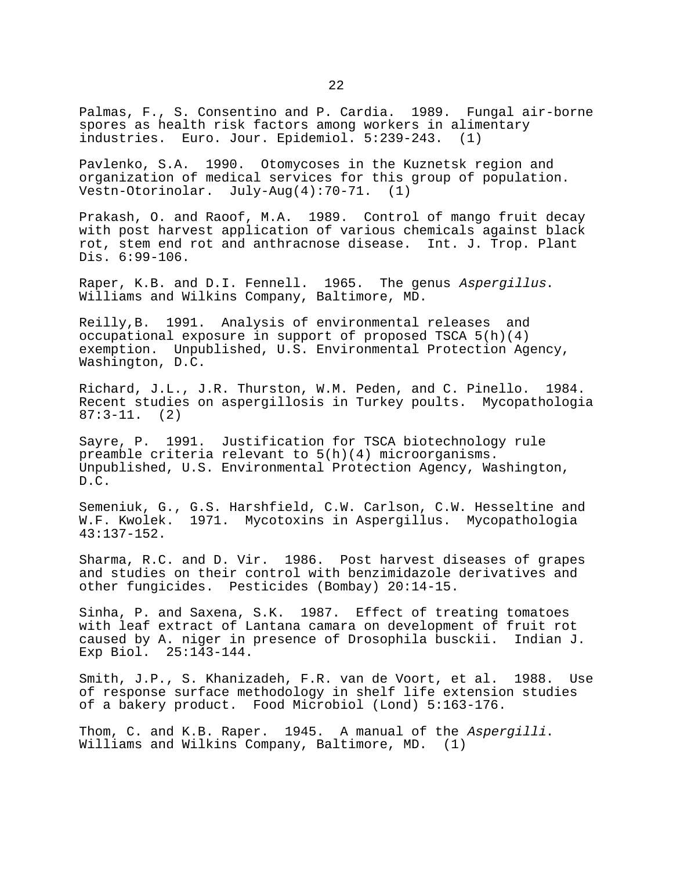Palmas, F., S. Consentino and P. Cardia. 1989. Fungal air-borne spores as health risk factors among workers in alimentary industries. Euro. Jour. Epidemiol. 5:239-243. (1)

Pavlenko, S.A. 1990. Otomycoses in the Kuznetsk region and organization of medical services for this group of population. Vestn-Otorinolar. July-Aug(4):70-71. (1)

Prakash, O. and Raoof, M.A. 1989. Control of mango fruit decay with post harvest application of various chemicals against black rot, stem end rot and anthracnose disease. Int. J. Trop. Plant Dis. 6:99-106.

Raper, K.B. and D.I. Fennell. 1965. The genus Aspergillus.<br>Williams and Wilkins Company, Baltimore, MD.

Reilly,B. 1991. Analysis of environmental releases and occupational exposure in support of proposed TSCA 5(h)(4) exemption. Unpublished, U.S. Environmental Protection Agency, Washington, D.C.

Richard, J.L., J.R. Thurston, W.M. Peden, and C. Pinello. 1984. Recent studies on aspergillosis in Turkey poults. Mycopathologia 87:3-11. (2)

Sayre, P. 1991. Justification for TSCA biotechnology rule preamble criteria relevant to 5(h)(4) microorganisms. Unpublished, U.S. Environmental Protection Agency, Washington, D.C.

Semeniuk, G., G.S. Harshfield, C.W. Carlson, C.W. Hesseltine and W.F. Kwolek. 1971. Mycotoxins in Aspergillus. Mycopathologia 43:137-152.

Sharma, R.C. and D. Vir. 1986. Post harvest diseases of grapes and studies on their control with benzimidazole derivatives and other fungicides. Pesticides (Bombay) 20:14-15.

Sinha, P. and Saxena, S.K. 1987. Effect of treating tomatoes with leaf extract of Lantana camara on development of fruit rot caused by A. niger in presence of Drosophila busckii. Indian J. Exp Biol. 25:143-144.

Smith, J.P., S. Khanizadeh, F.R. van de Voort, et al. 1988. Use of response surface methodology in shelf life extension studies of a bakery product. Food Microbiol (Lond) 5:163-176.

Thom, C. and K.B. Raper. 1945. A manual of the Aspergilli. Williams and Wilkins Company, Baltimore, MD. (1)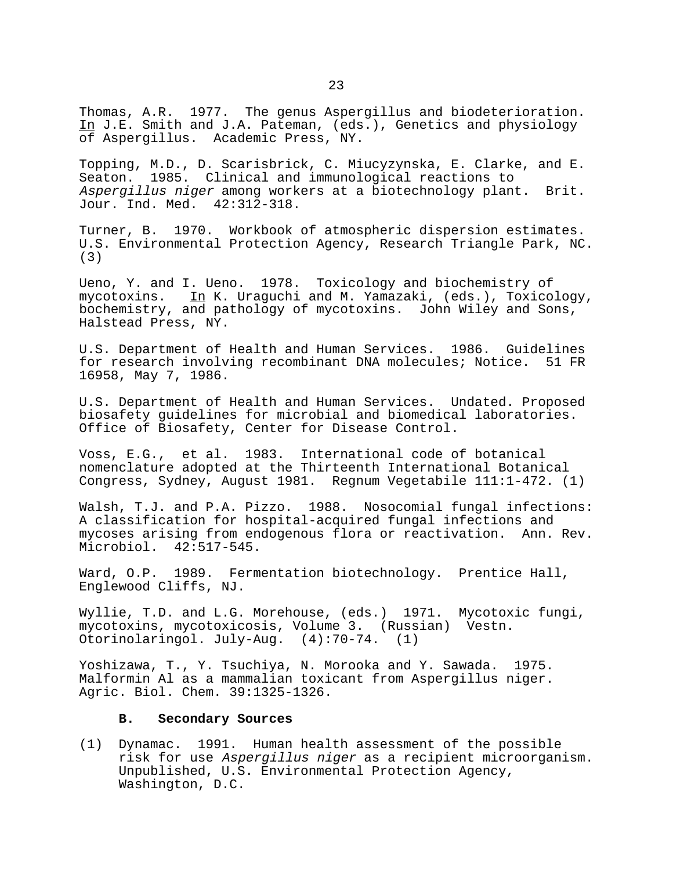Thomas, A.R. 1977. The genus Aspergillus and biodeterioration. In J.E. Smith and J.A. Pateman, (eds.), Genetics and physiology of Aspergillus. Academic Press, NY.

Topping, M.D., D. Scarisbrick, C. Miucyzynska, E. Clarke, and E. Seaton. 1985. Clinical and immunological reactions to Aspergillus niger among workers at a biotechnology plant. Brit. Jour. Ind. Med. 42:312-318.

Turner, B. 1970. Workbook of atmospheric dispersion estimates. U.S. Environmental Protection Agency, Research Triangle Park, NC. (3)

Ueno, Y. and I. Ueno. 1978. Toxicology and biochemistry of mycotoxins. In K. Uraguchi and M. Yamazaki, (eds.), Toxicology, bochemistry, and pathology of mycotoxins. John Wiley and Sons, Halstead Press, NY.

U.S. Department of Health and Human Services. 1986. Guidelines for research involving recombinant DNA molecules; Notice. 51 FR 16958, May 7, 1986.

U.S. Department of Health and Human Services. Undated. Proposed biosafety guidelines for microbial and biomedical laboratories. Office of Biosafety, Center for Disease Control.

Voss, E.G., et al. 1983. International code of botanical nomenclature adopted at the Thirteenth International Botanical Congress, Sydney, August 1981. Regnum Vegetabile 111:1-472. (1)

Walsh, T.J. and P.A. Pizzo. 1988. Nosocomial fungal infections: A classification for hospital-acquired fungal infections and mycoses arising from endogenous flora or reactivation. Ann. Rev. Microbiol. 42:517-545.

Ward, O.P. 1989. Fermentation biotechnology. Prentice Hall, Englewood Cliffs, NJ.

Wyllie, T.D. and L.G. Morehouse, (eds.) 1971. Mycotoxic fungi, mycotoxins, mycotoxicosis, Volume 3. (Russian) Vestn. Otorinolaringol. July-Aug. (4):70-74. (1)

Yoshizawa, T., Y. Tsuchiya, N. Morooka and Y. Sawada. 1975. Malformin Al as a mammalian toxicant from Aspergillus niger. Agric. Biol. Chem. 39:1325-1326.

# **B. Secondary Sources**

(1) Dynamac. 1991. Human health assessment of the possible risk for use Aspergillus niger as a recipient microorganism. Unpublished, U.S. Environmental Protection Agency, Washington, D.C.